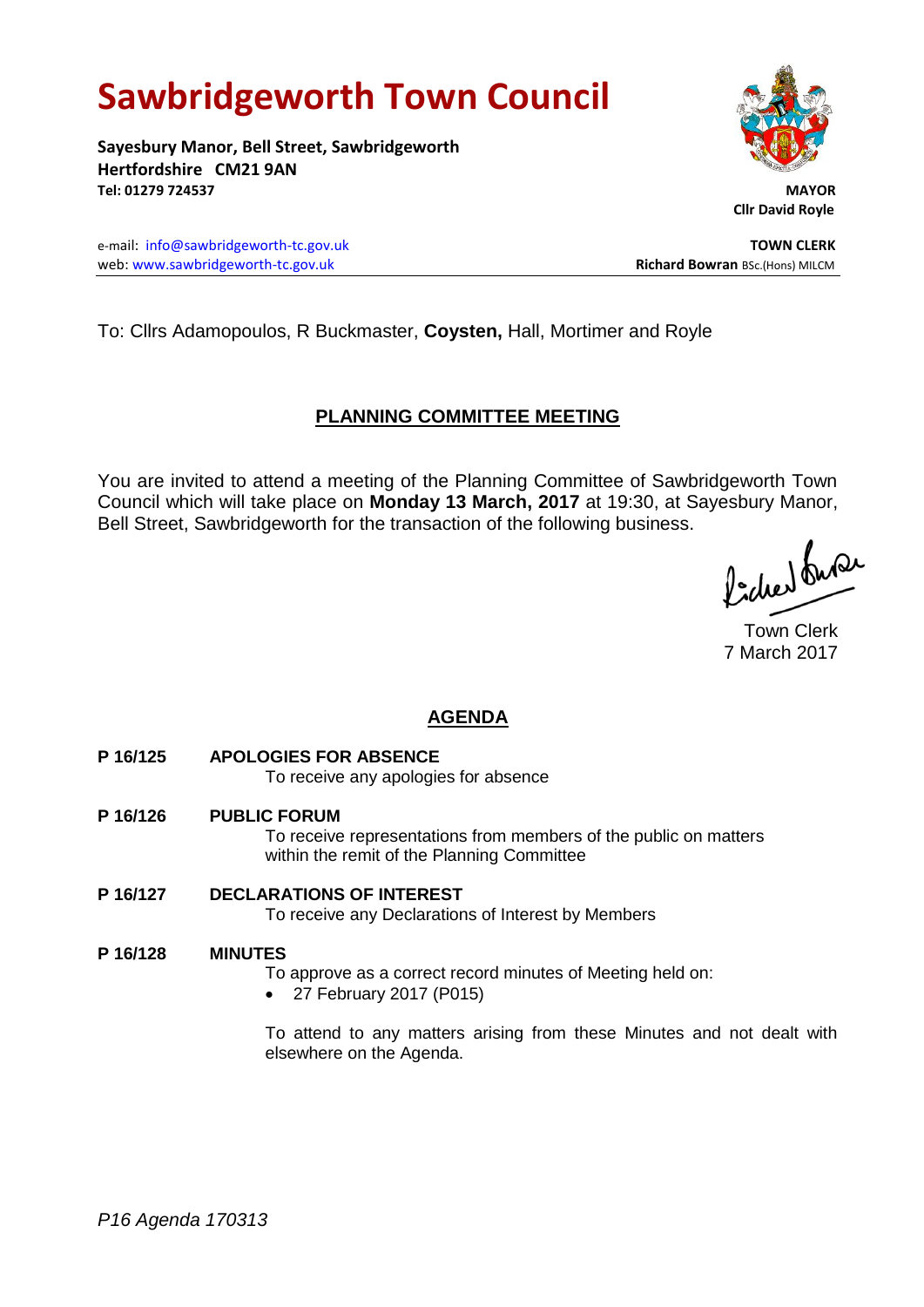# **Sawbridgeworth Town Council**

**Sayesbury Manor, Bell Street, Sawbridgeworth Hertfordshire CM21 9AN Tel: 01279 724537 MAYOR**

e-mail: [info@sawbridgeworth-tc.gov.uk](mailto:info@sawbridgeworth-tc.gov.uk) **TOWN CLERK** web: www.sawbridgeworth-tc.gov.uk **Richard Bowran** BSc.(Hons) MILCM



# **PLANNING COMMITTEE MEETING**

You are invited to attend a meeting of the Planning Committee of Sawbridgeworth Town Council which will take place on **Monday 13 March, 2017** at 19:30, at Sayesbury Manor, Bell Street, Sawbridgeworth for the transaction of the following business.

Picked fuse

Town Clerk 7 March 2017

# **AGENDA**

**P 16/125 APOLOGIES FOR ABSENCE**

To receive any apologies for absence

- **P 16/126 PUBLIC FORUM** To receive representations from members of the public on matters within the remit of the Planning Committee
- **P 16/127 DECLARATIONS OF INTEREST** To receive any Declarations of Interest by Members

# **P 16/128 MINUTES**

To approve as a correct record minutes of Meeting held on:

27 February 2017 (P015)

To attend to any matters arising from these Minutes and not dealt with elsewhere on the Agenda.



 **Cllr David Royle**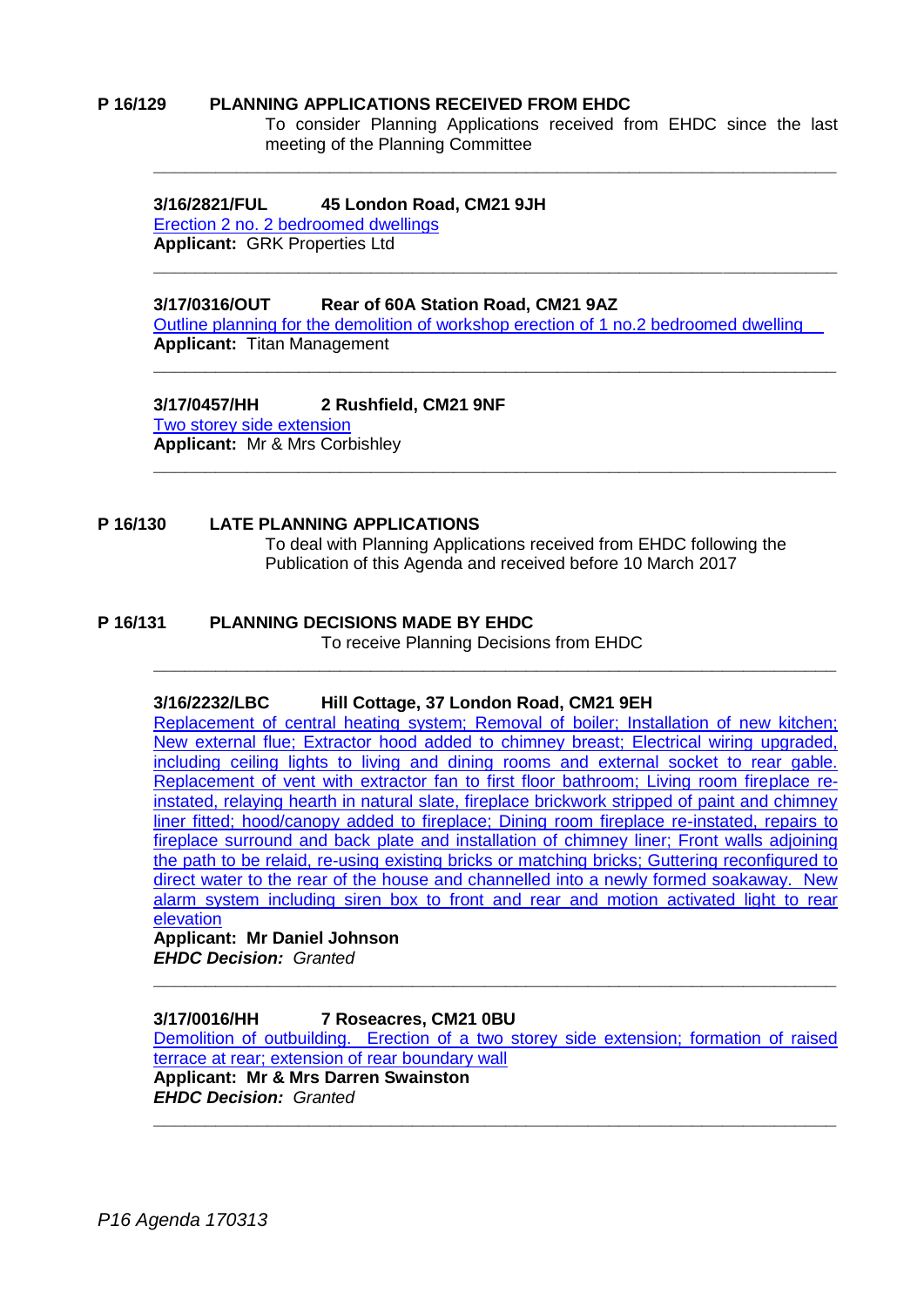#### **P 16/129 PLANNING APPLICATIONS RECEIVED FROM EHDC**

To consider Planning Applications received from EHDC since the last meeting of the Planning Committee

#### **3/16/2821/FUL 45 London Road, CM21 9JH**

[Erection 2 no. 2 bedroomed dwellings](https://publicaccess.eastherts.gov.uk/online-applications/applicationDetails.do?activeTab=documents&keyVal=OIHR7ZGLMNN00) **Applicant:** GRK Properties Ltd

#### **3/17/0316/OUT Rear of 60A Station Road, CM21 9AZ**

[Outline planning for the demolition of workshop erection of](https://publicaccess.eastherts.gov.uk/online-applications/applicationDetails.do?activeTab=summary&keyVal=OL2DU8GL00X00) 1 no.2 bedroomed dwelling **Applicant:** Titan Management

**\_\_\_\_\_\_\_\_\_\_\_\_\_\_\_\_\_\_\_\_\_\_\_\_\_\_\_\_\_\_\_\_\_\_\_\_\_\_\_\_\_\_\_\_\_\_\_\_\_\_\_\_\_\_\_\_\_\_\_\_\_\_\_\_\_\_**

**\_\_\_\_\_\_\_\_\_\_\_\_\_\_\_\_\_\_\_\_\_\_\_\_\_\_\_\_\_\_\_\_\_\_\_\_\_\_\_\_\_\_\_\_\_\_\_\_\_\_\_\_\_\_\_\_\_\_\_\_\_\_\_\_\_\_**

**\_\_\_\_\_\_\_\_\_\_\_\_\_\_\_\_\_\_\_\_\_\_\_\_\_\_\_\_\_\_\_\_\_\_\_\_\_\_\_\_\_\_\_\_\_\_\_\_\_\_\_\_\_\_\_\_\_\_\_\_\_\_\_\_\_\_**

**3/17/0457/HH 2 Rushfield, CM21 9NF** [Two storey side extension](https://publicaccess.eastherts.gov.uk/online-applications/applicationDetails.do?activeTab=summary&keyVal=OLS9V3GLFPU00)

**Applicant:** Mr & Mrs Corbishley **\_\_\_\_\_\_\_\_\_\_\_\_\_\_\_\_\_\_\_\_\_\_\_\_\_\_\_\_\_\_\_\_\_\_\_\_\_\_\_\_\_\_\_\_\_\_\_\_\_\_\_\_\_\_\_\_\_\_\_\_\_\_\_\_\_\_**

# **P 16/130 LATE PLANNING APPLICATIONS**

To deal with Planning Applications received from EHDC following the Publication of this Agenda and received before 10 March 2017

## **P 16/131 PLANNING DECISIONS MADE BY EHDC**

To receive Planning Decisions from EHDC

**\_\_\_\_\_\_\_\_\_\_\_\_\_\_\_\_\_\_\_\_\_\_\_\_\_\_\_\_\_\_\_\_\_\_\_\_\_\_\_\_\_\_\_\_\_\_\_\_\_\_\_\_\_\_\_\_\_\_\_\_\_\_\_\_\_\_**

## **3/16/2232/LBC Hill Cottage, 37 London Road, CM21 9EH**

[Replacement of central heating system; Removal of boiler; Installation of new kitchen;](https://publicaccess.eastherts.gov.uk/online-applications/applicationDetails.do?activeTab=summary&keyVal=OEBDBBGLLMN00) [New external flue; Extractor hood added to chimney breast; Electrical wiring upgraded,](https://publicaccess.eastherts.gov.uk/online-applications/applicationDetails.do?activeTab=summary&keyVal=OEBDBBGLLMN00)  [including ceiling lights to living and dining rooms and external socket to rear gable.](https://publicaccess.eastherts.gov.uk/online-applications/applicationDetails.do?activeTab=summary&keyVal=OEBDBBGLLMN00)  [Replacement of vent with extractor fan to first floor bathroom; Living room fireplace re](https://publicaccess.eastherts.gov.uk/online-applications/applicationDetails.do?activeTab=summary&keyVal=OEBDBBGLLMN00)[instated, relaying hearth in natural slate, fireplace brickwork stripped of paint and chimney](https://publicaccess.eastherts.gov.uk/online-applications/applicationDetails.do?activeTab=summary&keyVal=OEBDBBGLLMN00)  [liner fitted; hood/canopy added to fireplace; Dining room fireplace re-instated, repairs to](https://publicaccess.eastherts.gov.uk/online-applications/applicationDetails.do?activeTab=summary&keyVal=OEBDBBGLLMN00)  [fireplace surround and back plate and installation of chimney](https://publicaccess.eastherts.gov.uk/online-applications/applicationDetails.do?activeTab=summary&keyVal=OEBDBBGLLMN00) liner; Front walls adjoining [the path to be relaid, re-using existing bricks or matching bricks; Guttering reconfigured to](https://publicaccess.eastherts.gov.uk/online-applications/applicationDetails.do?activeTab=summary&keyVal=OEBDBBGLLMN00)  [direct water to the rear of the house and channelled into a newly formed soakaway. New](https://publicaccess.eastherts.gov.uk/online-applications/applicationDetails.do?activeTab=summary&keyVal=OEBDBBGLLMN00)  [alarm system including siren box to front and rear and motion activated light to rear](https://publicaccess.eastherts.gov.uk/online-applications/applicationDetails.do?activeTab=summary&keyVal=OEBDBBGLLMN00)  [elevation](https://publicaccess.eastherts.gov.uk/online-applications/applicationDetails.do?activeTab=summary&keyVal=OEBDBBGLLMN00)

#### **Applicant: Mr Daniel Johnson** *EHDC Decision: Granted*

**3/17/0016/HH 7 Roseacres, CM21 0BU** [Demolition of outbuilding. Erection of a two storey side extension; formation of raised](https://publicaccess.eastherts.gov.uk/online-applications/applicationDetails.do?activeTab=summary&keyVal=OJCXEEGLMS600)  [terrace at rear; extension of rear boundary wall](https://publicaccess.eastherts.gov.uk/online-applications/applicationDetails.do?activeTab=summary&keyVal=OJCXEEGLMS600) **Applicant: Mr & Mrs Darren Swainston** *EHDC Decision: Granted* **\_\_\_\_\_\_\_\_\_\_\_\_\_\_\_\_\_\_\_\_\_\_\_\_\_\_\_\_\_\_\_\_\_\_\_\_\_\_\_\_\_\_\_\_\_\_\_\_\_\_\_\_\_\_\_\_\_\_\_\_\_\_\_\_\_\_**

**\_\_\_\_\_\_\_\_\_\_\_\_\_\_\_\_\_\_\_\_\_\_\_\_\_\_\_\_\_\_\_\_\_\_\_\_\_\_\_\_\_\_\_\_\_\_\_\_\_\_\_\_\_\_\_\_\_\_\_\_\_\_\_\_\_\_**